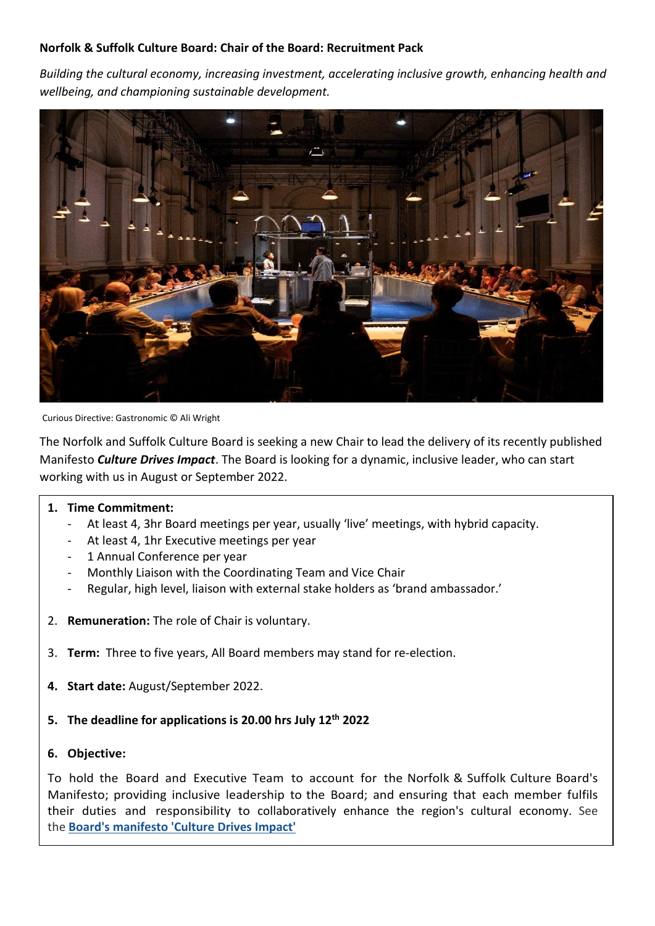#### **Norfolk & Suffolk Culture Board: Chair of the Board: Recruitment Pack**

*Building the cultural economy, increasing investment, accelerating inclusive growth, enhancing health and wellbeing, and championing sustainable development.* 



Curious Directive: Gastronomic © Ali Wright

The Norfolk and Suffolk Culture Board is seeking a new Chair to lead the delivery of its recently published Manifesto *Culture Drives Impact*. The Board is looking for a dynamic, inclusive leader, who can start working with us in August or September 2022.

#### **1. Time Commitment:**

- At least 4, 3hr Board meetings per year, usually 'live' meetings, with hybrid capacity.
- At least 4, 1hr Executive meetings per year
- 1 Annual Conference per year
- Monthly Liaison with the Coordinating Team and Vice Chair
- Regular, high level, liaison with external stake holders as 'brand ambassador.'
- 2. **Remuneration:** The role of Chair is voluntary.
- 3. **Term:** Three to five years, All Board members may stand for re-election.
- **4. Start date:** August/September 2022.
- **5. The deadline for applications is 20.00 hrs July 12th 2022**
- **6. Objective:**

To hold the Board and Executive Team to account for the Norfolk & Suffolk Culture Board's Manifesto; providing inclusive leadership to the Board; and ensuring that each member fulfils their duties and responsibility to collaboratively enhance the region's cultural economy. See the **[Board's manifesto 'Culture Drives Impact'](https://nationalcentreforwriting.org.uk/wp-content/uploads/2022/05/CDI_Manifesto_2022.pdf)**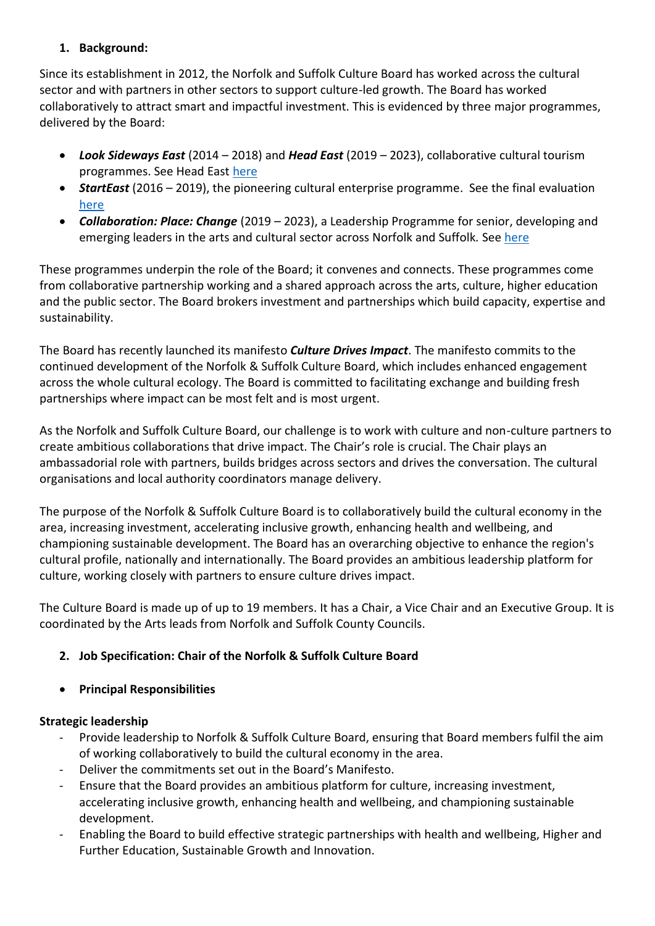# **1. Background:**

Since its establishment in 2012, the Norfolk and Suffolk Culture Board has worked across the cultural sector and with partners in other sectors to support culture-led growth. The Board has worked collaboratively to attract smart and impactful investment. This is evidenced by three major programmes, delivered by the Board:

- *Look Sideways East* (2014 2018) and *Head East* (2019 2023), collaborative cultural tourism programmes. See Head East [here](https://www.visiteastofengland.com/head-east)
- *StartEast* (2016 2019), the pioneering cultural enterprise programme. See the final evaluation [here](https://www.starteast.co.uk/wp-content/uploads/2018/10/StartEast-Evaluation-Report-FINAL.pdf)
- *Collaboration: Place: Change* (2019 2023), a Leadership Programme for senior, developing and emerging leaders in the arts and cultural sector across Norfolk and Suffolk. See [here](https://nationalcentreforwriting.org.uk/collaboration-place-change/?gclid=Cj0KCQjw2MWVBhCQARIsAIjbwoMRaYc0K5irZ7-z-vbCVLvGKwvy-iP7vcLsKcR1rEqb0bpFEsrSgCcaAlMvEALw_wcB)

These programmes underpin the role of the Board; it convenes and connects. These programmes come from collaborative partnership working and a shared approach across the arts, culture, higher education and the public sector. The Board brokers investment and partnerships which build capacity, expertise and sustainability.

The Board has recently launched its manifesto *Culture Drives Impact*. The manifesto commits to the continued development of the Norfolk & Suffolk Culture Board, which includes enhanced engagement across the whole cultural ecology. The Board is committed to facilitating exchange and building fresh partnerships where impact can be most felt and is most urgent.

As the Norfolk and Suffolk Culture Board, our challenge is to work with culture and non-culture partners to create ambitious collaborations that drive impact. The Chair's role is crucial. The Chair plays an ambassadorial role with partners, builds bridges across sectors and drives the conversation. The cultural organisations and local authority coordinators manage delivery.

The purpose of the Norfolk & Suffolk Culture Board is to collaboratively build the cultural economy in the area, increasing investment, accelerating inclusive growth, enhancing health and wellbeing, and championing sustainable development. The Board has an overarching objective to enhance the region's cultural profile, nationally and internationally. The Board provides an ambitious leadership platform for culture, working closely with partners to ensure culture drives impact.

The Culture Board is made up of up to 19 members. It has a Chair, a Vice Chair and an Executive Group. It is coordinated by the Arts leads from Norfolk and Suffolk County Councils.

# **2. Job Specification: Chair of the Norfolk & Suffolk Culture Board**

• **Principal Responsibilities** 

# **Strategic leadership**

- Provide leadership to Norfolk & Suffolk Culture Board, ensuring that Board members fulfil the aim of working collaboratively to build the cultural economy in the area.
- Deliver the commitments set out in the Board's Manifesto.
- Ensure that the Board provides an ambitious platform for culture, increasing investment, accelerating inclusive growth, enhancing health and wellbeing, and championing sustainable development.
- Enabling the Board to build effective strategic partnerships with health and wellbeing, Higher and Further Education, Sustainable Growth and Innovation.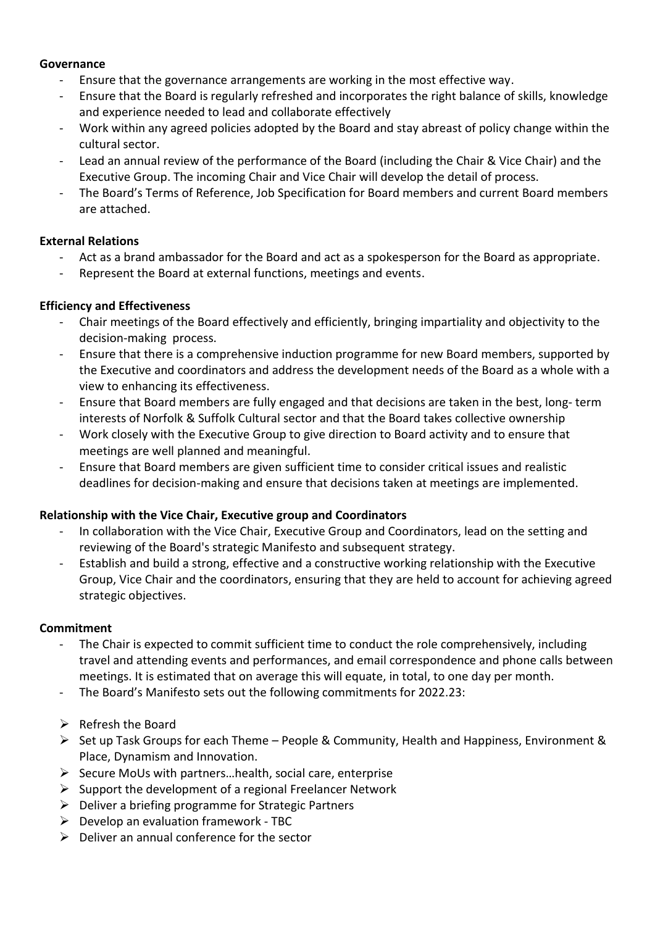#### **Governance**

- Ensure that the governance arrangements are working in the most effective way.
- Ensure that the Board is regularly refreshed and incorporates the right balance of skills, knowledge and experience needed to lead and collaborate effectively
- Work within any agreed policies adopted by the Board and stay abreast of policy change within the cultural sector.
- Lead an annual review of the performance of the Board (including the Chair & Vice Chair) and the Executive Group. The incoming Chair and Vice Chair will develop the detail of process.
- The Board's Terms of Reference, Job Specification for Board members and current Board members are attached.

# **External Relations**

- Act as a brand ambassador for the Board and act as a spokesperson for the Board as appropriate.
- Represent the Board at external functions, meetings and events.

# **Efficiency and Effectiveness**

- Chair meetings of the Board effectively and efficiently, bringing impartiality and objectivity to the decision-making process.
- Ensure that there is a comprehensive induction programme for new Board members, supported by the Executive and coordinators and address the development needs of the Board as a whole with a view to enhancing its effectiveness.
- Ensure that Board members are fully engaged and that decisions are taken in the best, long- term interests of Norfolk & Suffolk Cultural sector and that the Board takes collective ownership
- Work closely with the Executive Group to give direction to Board activity and to ensure that meetings are well planned and meaningful.
- Ensure that Board members are given sufficient time to consider critical issues and realistic deadlines for decision-making and ensure that decisions taken at meetings are implemented.

### **Relationship with the Vice Chair, Executive group and Coordinators**

- In collaboration with the Vice Chair, Executive Group and Coordinators, lead on the setting and reviewing of the Board's strategic Manifesto and subsequent strategy.
- Establish and build a strong, effective and a constructive working relationship with the Executive Group, Vice Chair and the coordinators, ensuring that they are held to account for achieving agreed strategic objectives.

### **Commitment**

- The Chair is expected to commit sufficient time to conduct the role comprehensively, including travel and attending events and performances, and email correspondence and phone calls between meetings. It is estimated that on average this will equate, in total, to one day per month.
- The Board's Manifesto sets out the following commitments for 2022.23:
- ➢ Refresh the Board
- $\triangleright$  Set up Task Groups for each Theme People & Community, Health and Happiness, Environment & Place, Dynamism and Innovation.
- $\triangleright$  Secure MoUs with partners... health, social care, enterprise
- $\triangleright$  Support the development of a regional Freelancer Network
- ➢ Deliver a briefing programme for Strategic Partners
- $\triangleright$  Develop an evaluation framework TBC
- $\triangleright$  Deliver an annual conference for the sector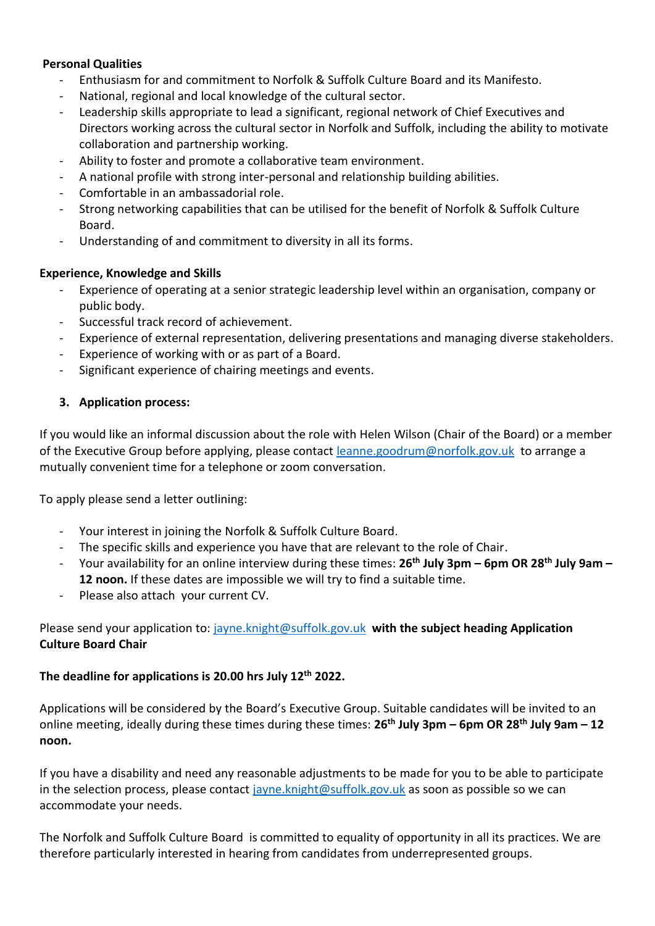### **Personal Qualities**

- Enthusiasm for and commitment to Norfolk & Suffolk Culture Board and its Manifesto.
- National, regional and local knowledge of the cultural sector.
- Leadership skills appropriate to lead a significant, regional network of Chief Executives and Directors working across the cultural sector in Norfolk and Suffolk, including the ability to motivate collaboration and partnership working.
- Ability to foster and promote a collaborative team environment.
- A national profile with strong inter-personal and relationship building abilities.
- Comfortable in an ambassadorial role.
- Strong networking capabilities that can be utilised for the benefit of Norfolk & Suffolk Culture Board.
- Understanding of and commitment to diversity in all its forms.

#### **Experience, Knowledge and Skills**

- Experience of operating at a senior strategic leadership level within an organisation, company or public body.
- Successful track record of achievement.
- Experience of external representation, delivering presentations and managing diverse stakeholders.
- Experience of working with or as part of a Board.
- Significant experience of chairing meetings and events.

#### **3. Application process:**

If you would like an informal discussion about the role with Helen Wilson (Chair of the Board) or a member of the Executive Group before applying, please contact [leanne.goodrum@norfolk.gov.uk](mailto:leanne.goodrum@norfolk.gov.uk) to arrange a mutually convenient time for a telephone or zoom conversation.

To apply please send a letter outlining:

- Your interest in joining the Norfolk & Suffolk Culture Board.
- The specific skills and experience you have that are relevant to the role of Chair.
- Your availability for an online interview during these times: **26th July 3pm – 6pm OR 28th July 9am – 12 noon.** If these dates are impossible we will try to find a suitable time.
- Please also attach your current CV.

Please send your application to: [jayne.knight@suffolk.gov.uk](mailto:jayne.knight@suffolk.gov.ukT) **with the subject heading Application Culture Board Chair** 

#### **The deadline for applications is 20.00 hrs July 12th 2022.**

Applications will be considered by the Board's Executive Group. Suitable candidates will be invited to an online meeting, ideally during these times during these times: **26th July 3pm – 6pm OR 28th July 9am – 12 noon.**

If you have a disability and need any reasonable adjustments to be made for you to be able to participate in the selection process, please contact [jayne.knight@suffolk.gov.uk](mailto:jayne.knight@suffolk.gov.ukT) as soon as possible so we can accommodate your needs.

The Norfolk and Suffolk Culture Board is committed to equality of opportunity in all its practices. We are therefore particularly interested in hearing from candidates from underrepresented groups.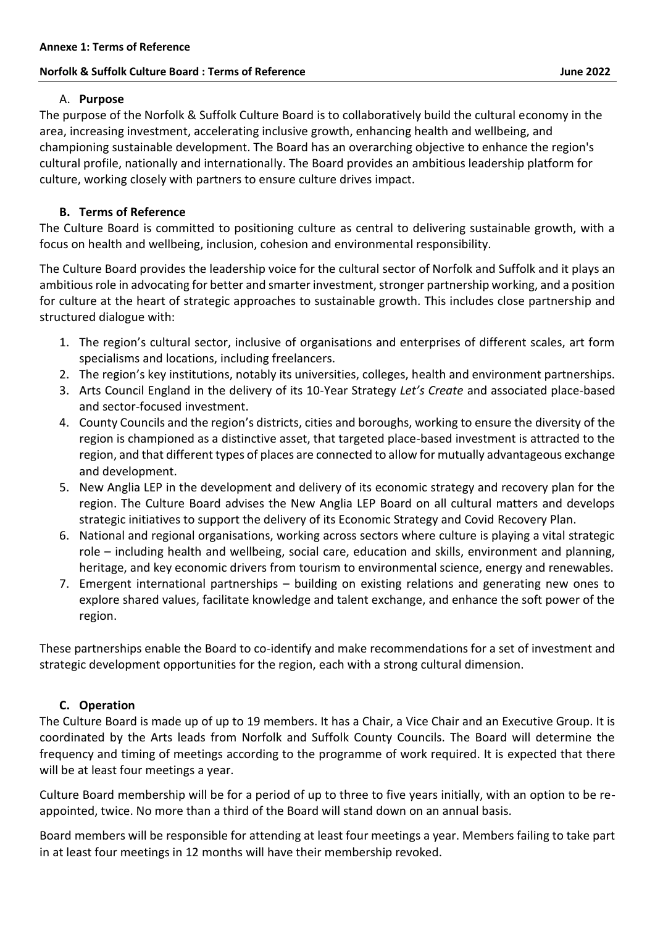#### **Norfolk & Suffolk Culture Board : Terms of Reference All and All and All and All and All and All and All and A**

#### A. **Purpose**

The purpose of the Norfolk & Suffolk Culture Board is to collaboratively build the cultural economy in the area, increasing investment, accelerating inclusive growth, enhancing health and wellbeing, and championing sustainable development. The Board has an overarching objective to enhance the region's cultural profile, nationally and internationally. The Board provides an ambitious leadership platform for culture, working closely with partners to ensure culture drives impact.

# **B. Terms of Reference**

The Culture Board is committed to positioning culture as central to delivering sustainable growth, with a focus on health and wellbeing, inclusion, cohesion and environmental responsibility.

The Culture Board provides the leadership voice for the cultural sector of Norfolk and Suffolk and it plays an ambitious role in advocating for better and smarter investment, stronger partnership working, and a position for culture at the heart of strategic approaches to sustainable growth. This includes close partnership and structured dialogue with:

- 1. The region's cultural sector, inclusive of organisations and enterprises of different scales, art form specialisms and locations, including freelancers.
- 2. The region's key institutions, notably its universities, colleges, health and environment partnerships.
- 3. Arts Council England in the delivery of its 10-Year Strategy *Let's Create* and associated place-based and sector-focused investment.
- 4. County Councils and the region's districts, cities and boroughs, working to ensure the diversity of the region is championed as a distinctive asset, that targeted place-based investment is attracted to the region, and that different types of places are connected to allow for mutually advantageous exchange and development.
- 5. New Anglia LEP in the development and delivery of its economic strategy and recovery plan for the region. The Culture Board advises the New Anglia LEP Board on all cultural matters and develops strategic initiatives to support the delivery of its Economic Strategy and Covid Recovery Plan.
- 6. National and regional organisations, working across sectors where culture is playing a vital strategic role – including health and wellbeing, social care, education and skills, environment and planning, heritage, and key economic drivers from tourism to environmental science, energy and renewables.
- 7. Emergent international partnerships building on existing relations and generating new ones to explore shared values, facilitate knowledge and talent exchange, and enhance the soft power of the region.

These partnerships enable the Board to co-identify and make recommendations for a set of investment and strategic development opportunities for the region, each with a strong cultural dimension.

### **C. Operation**

The Culture Board is made up of up to 19 members. It has a Chair, a Vice Chair and an Executive Group. It is coordinated by the Arts leads from Norfolk and Suffolk County Councils. The Board will determine the frequency and timing of meetings according to the programme of work required. It is expected that there will be at least four meetings a year.

Culture Board membership will be for a period of up to three to five years initially, with an option to be reappointed, twice. No more than a third of the Board will stand down on an annual basis.

Board members will be responsible for attending at least four meetings a year. Members failing to take part in at least four meetings in 12 months will have their membership revoked.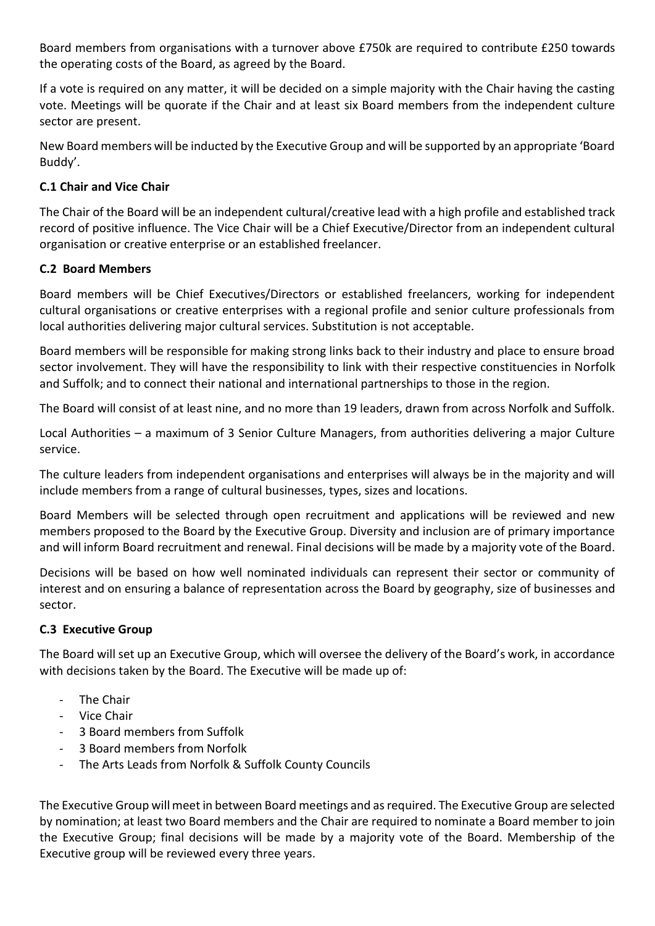Board members from organisations with a turnover above £750k are required to contribute £250 towards the operating costs of the Board, as agreed by the Board.

If a vote is required on any matter, it will be decided on a simple majority with the Chair having the casting vote. Meetings will be quorate if the Chair and at least six Board members from the independent culture sector are present.

New Board members will be inducted by the Executive Group and will be supported by an appropriate 'Board Buddy'.

# **C.1 Chair and Vice Chair**

The Chair of the Board will be an independent cultural/creative lead with a high profile and established track record of positive influence. The Vice Chair will be a Chief Executive/Director from an independent cultural organisation or creative enterprise or an established freelancer.

# **C.2 Board Members**

Board members will be Chief Executives/Directors or established freelancers, working for independent cultural organisations or creative enterprises with a regional profile and senior culture professionals from local authorities delivering major cultural services. Substitution is not acceptable.

Board members will be responsible for making strong links back to their industry and place to ensure broad sector involvement. They will have the responsibility to link with their respective constituencies in Norfolk and Suffolk; and to connect their national and international partnerships to those in the region.

The Board will consist of at least nine, and no more than 19 leaders, drawn from across Norfolk and Suffolk.

Local Authorities – a maximum of 3 Senior Culture Managers, from authorities delivering a major Culture service.

The culture leaders from independent organisations and enterprises will always be in the majority and will include members from a range of cultural businesses, types, sizes and locations.

Board Members will be selected through open recruitment and applications will be reviewed and new members proposed to the Board by the Executive Group. Diversity and inclusion are of primary importance and will inform Board recruitment and renewal. Final decisions will be made by a majority vote of the Board.

Decisions will be based on how well nominated individuals can represent their sector or community of interest and on ensuring a balance of representation across the Board by geography, size of businesses and sector.

### **C.3 Executive Group**

The Board will set up an Executive Group, which will oversee the delivery of the Board's work, in accordance with decisions taken by the Board. The Executive will be made up of:

- The Chair
- **Vice Chair**
- 3 Board members from Suffolk
- 3 Board members from Norfolk
- The Arts Leads from Norfolk & Suffolk County Councils

The Executive Group will meet in between Board meetings and as required. The Executive Group are selected by nomination; at least two Board members and the Chair are required to nominate a Board member to join the Executive Group; final decisions will be made by a majority vote of the Board. Membership of the Executive group will be reviewed every three years.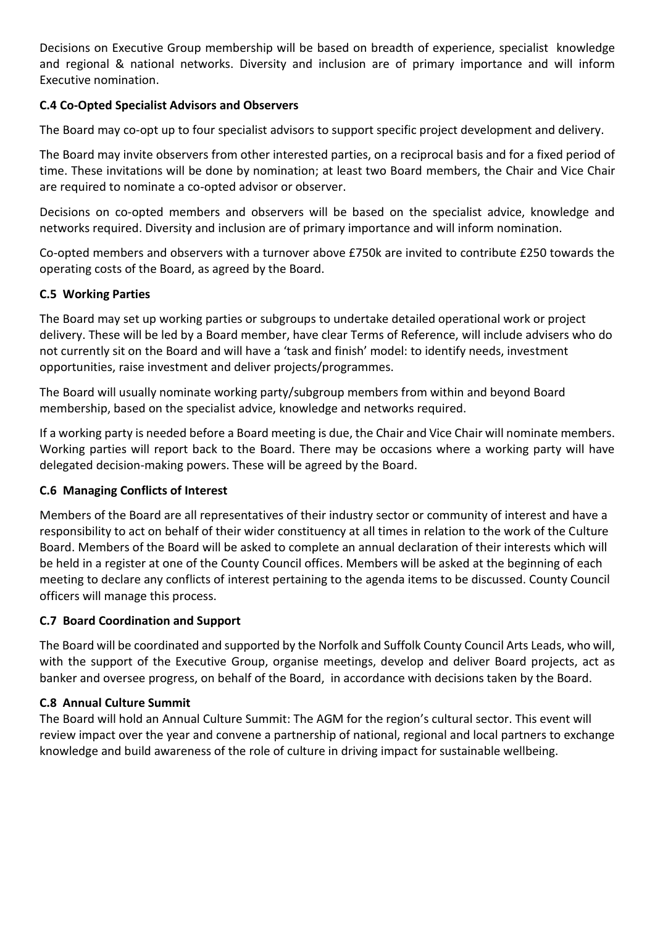Decisions on Executive Group membership will be based on breadth of experience, specialist knowledge and regional & national networks. Diversity and inclusion are of primary importance and will inform Executive nomination.

### **C.4 Co-Opted Specialist Advisors and Observers**

The Board may co-opt up to four specialist advisors to support specific project development and delivery.

The Board may invite observers from other interested parties, on a reciprocal basis and for a fixed period of time. These invitations will be done by nomination; at least two Board members, the Chair and Vice Chair are required to nominate a co-opted advisor or observer.

Decisions on co-opted members and observers will be based on the specialist advice, knowledge and networks required. Diversity and inclusion are of primary importance and will inform nomination.

Co-opted members and observers with a turnover above £750k are invited to contribute £250 towards the operating costs of the Board, as agreed by the Board.

### **C.5 Working Parties**

The Board may set up working parties or subgroups to undertake detailed operational work or project delivery. These will be led by a Board member, have clear Terms of Reference, will include advisers who do not currently sit on the Board and will have a 'task and finish' model: to identify needs, investment opportunities, raise investment and deliver projects/programmes.

The Board will usually nominate working party/subgroup members from within and beyond Board membership, based on the specialist advice, knowledge and networks required.

If a working party is needed before a Board meeting is due, the Chair and Vice Chair will nominate members. Working parties will report back to the Board. There may be occasions where a working party will have delegated decision-making powers. These will be agreed by the Board.

### **C.6 Managing Conflicts of Interest**

Members of the Board are all representatives of their industry sector or community of interest and have a responsibility to act on behalf of their wider constituency at all times in relation to the work of the Culture Board. Members of the Board will be asked to complete an annual declaration of their interests which will be held in a register at one of the County Council offices. Members will be asked at the beginning of each meeting to declare any conflicts of interest pertaining to the agenda items to be discussed. County Council officers will manage this process.

### **C.7 Board Coordination and Support**

The Board will be coordinated and supported by the Norfolk and Suffolk County Council Arts Leads, who will, with the support of the Executive Group, organise meetings, develop and deliver Board projects, act as banker and oversee progress, on behalf of the Board, in accordance with decisions taken by the Board.

### **C.8 Annual Culture Summit**

The Board will hold an Annual Culture Summit: The AGM for the region's cultural sector. This event will review impact over the year and convene a partnership of national, regional and local partners to exchange knowledge and build awareness of the role of culture in driving impact for sustainable wellbeing.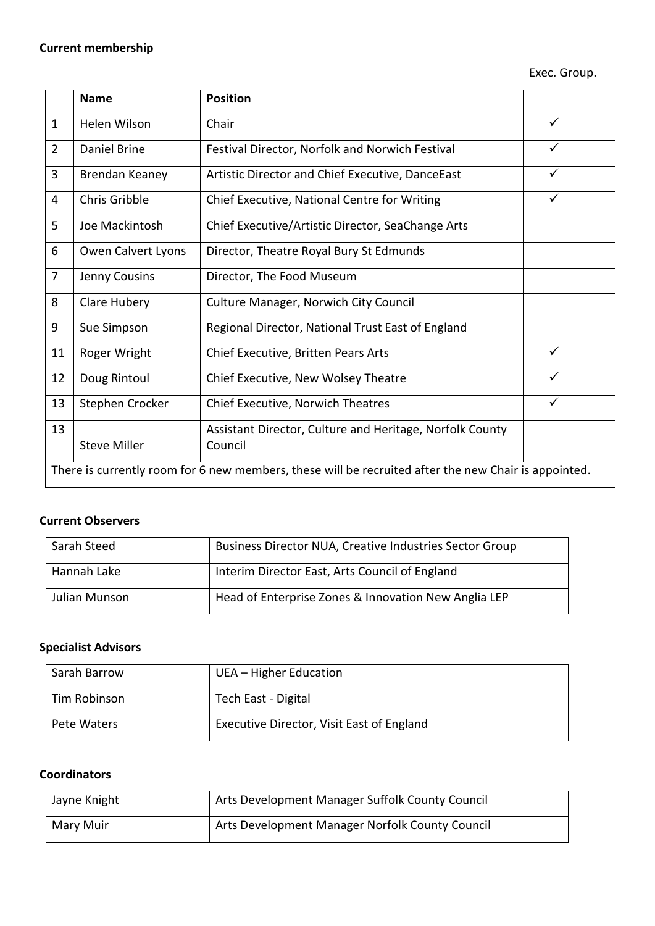|                                                                                                      | <b>Name</b>         | <b>Position</b>                                                     |              |  |
|------------------------------------------------------------------------------------------------------|---------------------|---------------------------------------------------------------------|--------------|--|
| $\mathbf{1}$                                                                                         | Helen Wilson        | Chair                                                               | $\checkmark$ |  |
| $\overline{2}$                                                                                       | Daniel Brine        | Festival Director, Norfolk and Norwich Festival                     | ✓            |  |
| 3                                                                                                    | Brendan Keaney      | Artistic Director and Chief Executive, DanceEast                    | $\checkmark$ |  |
| 4                                                                                                    | Chris Gribble       | Chief Executive, National Centre for Writing                        | $\checkmark$ |  |
| 5                                                                                                    | Joe Mackintosh      | Chief Executive/Artistic Director, SeaChange Arts                   |              |  |
| 6                                                                                                    | Owen Calvert Lyons  | Director, Theatre Royal Bury St Edmunds                             |              |  |
| $\overline{7}$                                                                                       | Jenny Cousins       | Director, The Food Museum                                           |              |  |
| 8                                                                                                    | Clare Hubery        | <b>Culture Manager, Norwich City Council</b>                        |              |  |
| 9                                                                                                    | Sue Simpson         | Regional Director, National Trust East of England                   |              |  |
| 11                                                                                                   | Roger Wright        | Chief Executive, Britten Pears Arts                                 | ✓            |  |
| 12                                                                                                   | Doug Rintoul        | Chief Executive, New Wolsey Theatre                                 | $\checkmark$ |  |
| 13                                                                                                   | Stephen Crocker     | Chief Executive, Norwich Theatres                                   | ✓            |  |
| 13                                                                                                   | <b>Steve Miller</b> | Assistant Director, Culture and Heritage, Norfolk County<br>Council |              |  |
| There is currently room for 6 new members, these will be recruited after the new Chair is appointed. |                     |                                                                     |              |  |

# **Current Observers**

| Sarah Steed   | Business Director NUA, Creative Industries Sector Group |
|---------------|---------------------------------------------------------|
| Hannah Lake   | Interim Director East, Arts Council of England          |
| Julian Munson | Head of Enterprise Zones & Innovation New Anglia LEP    |

# **Specialist Advisors**

| Sarah Barrow | UEA – Higher Education                    |
|--------------|-------------------------------------------|
| Tim Robinson | Tech East - Digital                       |
| Pete Waters  | Executive Director, Visit East of England |

### **Coordinators**

| Jayne Knight | Arts Development Manager Suffolk County Council |
|--------------|-------------------------------------------------|
| Mary Muir    | Arts Development Manager Norfolk County Council |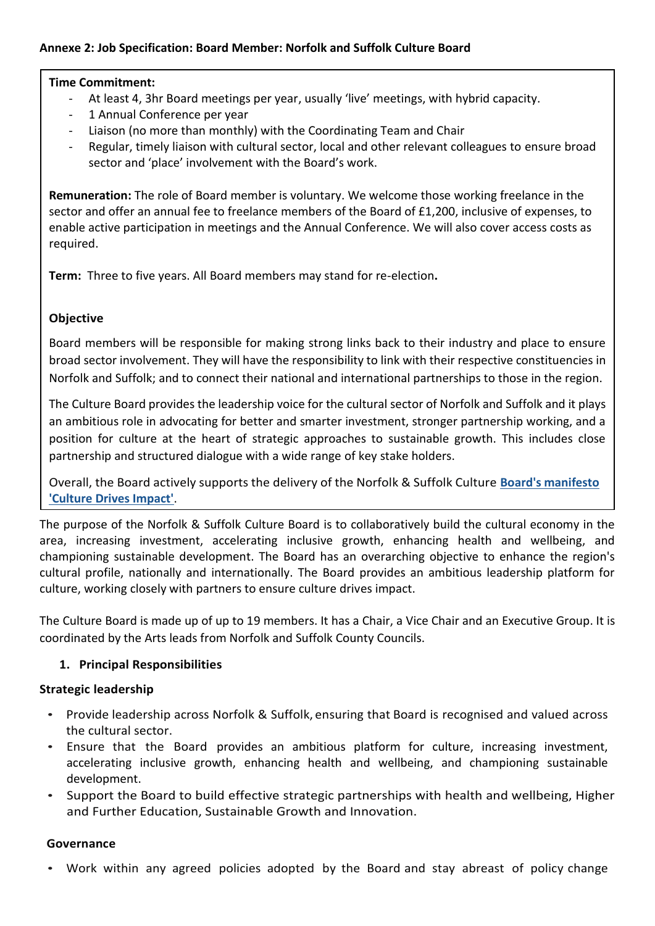### **Annexe 2: Job Specification: Board Member: Norfolk and Suffolk Culture Board**

#### **Time Commitment:**

- At least 4, 3hr Board meetings per year, usually 'live' meetings, with hybrid capacity.
- 1 Annual Conference per year
- Liaison (no more than monthly) with the Coordinating Team and Chair
- Regular, timely liaison with cultural sector, local and other relevant colleagues to ensure broad sector and 'place' involvement with the Board's work.

**Remuneration:** The role of Board member is voluntary. We welcome those working freelance in the sector and offer an annual fee to freelance members of the Board of £1,200, inclusive of expenses, to enable active participation in meetings and the Annual Conference. We will also cover access costs as required.

**Term:** Three to five years. All Board members may stand for re-election**.**

### **Objective**

Board members will be responsible for making strong links back to their industry and place to ensure broad sector involvement. They will have the responsibility to link with their respective constituencies in Norfolk and Suffolk; and to connect their national and international partnerships to those in the region.

The Culture Board provides the leadership voice for the cultural sector of Norfolk and Suffolk and it plays an ambitious role in advocating for better and smarter investment, stronger partnership working, and a position for culture at the heart of strategic approaches to sustainable growth. This includes close partnership and structured dialogue with a wide range of key stake holders.

Overall, the Board actively supports the delivery of the Norfolk & Suffolk Culture **[Board's manifesto](https://nationalcentreforwriting.org.uk/wp-content/uploads/2022/05/CDI_Manifesto_2022.pdf)  ['Culture Drives Impact'](https://nationalcentreforwriting.org.uk/wp-content/uploads/2022/05/CDI_Manifesto_2022.pdf)**.

The purpose of the Norfolk & Suffolk Culture Board is to collaboratively build the cultural economy in the area, increasing investment, accelerating inclusive growth, enhancing health and wellbeing, and championing sustainable development. The Board has an overarching objective to enhance the region's cultural profile, nationally and internationally. The Board provides an ambitious leadership platform for culture, working closely with partners to ensure culture drives impact.

The Culture Board is made up of up to 19 members. It has a Chair, a Vice Chair and an Executive Group. It is coordinated by the Arts leads from Norfolk and Suffolk County Councils.

### **1. Principal Responsibilities**

#### **Strategic leadership**

- Provide leadership across Norfolk & Suffolk, ensuring that Board is recognised and valued across the cultural sector.
- Ensure that the Board provides an ambitious platform for culture, increasing investment, accelerating inclusive growth, enhancing health and wellbeing, and championing sustainable development.
- Support the Board to build effective strategic partnerships with health and wellbeing, Higher and Further Education, Sustainable Growth and Innovation.

#### **Governance**

• Work within any agreed policies adopted by the Board and stay abreast of policy change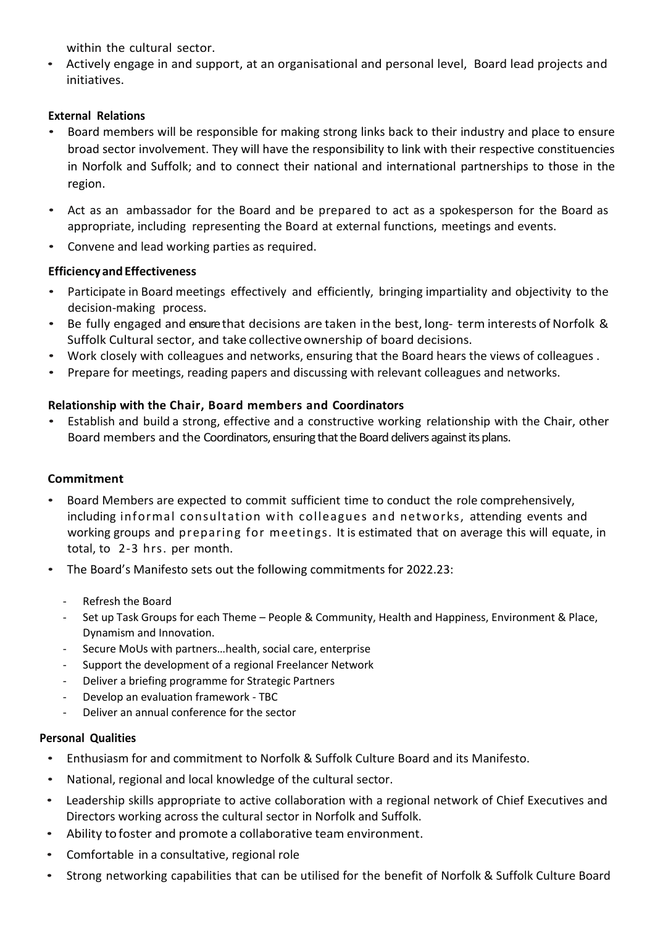within the cultural sector.

• Actively engage in and support, at an organisational and personal level, Board lead projects and initiatives.

# **External Relations**

- Board members will be responsible for making strong links back to their industry and place to ensure broad sector involvement. They will have the responsibility to link with their respective constituencies in Norfolk and Suffolk; and to connect their national and international partnerships to those in the region.
- Act as an ambassador for the Board and be prepared to act as a spokesperson for the Board as appropriate, including representing the Board at external functions, meetings and events.
- Convene and lead working parties as required.

# **Efficiency and Effectiveness**

- Participate in Board meetings effectively and efficiently, bringing impartiality and objectivity to the decision-making process.
- Be fully engaged and ensure that decisions are taken in the best, long- term interests of Norfolk & Suffolk Cultural sector, and take collective ownership of board decisions.
- Work closely with colleagues and networks, ensuring that the Board hears the views of colleagues .
- Prepare for meetings, reading papers and discussing with relevant colleagues and networks.

# **Relationship with the Chair, Board members and Coordinators**

• Establish and build a strong, effective and a constructive working relationship with the Chair, other Board members and the Coordinators, ensuring that the Board delivers against its plans.

### **Commitment**

- Board Members are expected to commit sufficient time to conduct the role comprehensively, including informal consultation with colleagues and networks, attending events and working groups and preparing for meetings. It is estimated that on average this will equate, in total, to 2-3 hrs. per month.
- The Board's Manifesto sets out the following commitments for 2022.23:
	- Refresh the Board
	- Set up Task Groups for each Theme People & Community, Health and Happiness, Environment & Place, Dynamism and Innovation.
	- Secure MoUs with partners…health, social care, enterprise
	- Support the development of a regional Freelancer Network
	- Deliver a briefing programme for Strategic Partners
	- Develop an evaluation framework TBC
	- Deliver an annual conference for the sector

### **Personal Qualities**

- Enthusiasm for and commitment to Norfolk & Suffolk Culture Board and its Manifesto.
- National, regional and local knowledge of the cultural sector.
- Leadership skills appropriate to active collaboration with a regional network of Chief Executives and Directors working across the cultural sector in Norfolk and Suffolk.
- Ability to foster and promote a collaborative team environment.
- Comfortable in a consultative, regional role
- Strong networking capabilities that can be utilised for the benefit of Norfolk & Suffolk Culture Board